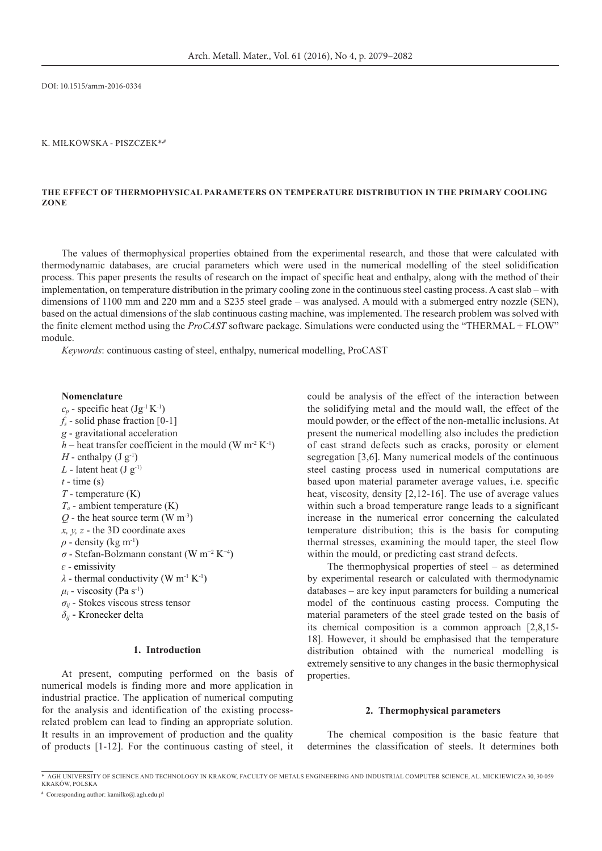DOI: 10.1515/amm-2016-0334

### K. Miłkowska - Piszczek\***,#**

## **The Effect of Thermophysical Parameters on Temperature Distribution in the Primary Cooling Zone**

The values of thermophysical properties obtained from the experimental research, and those that were calculated with thermodynamic databases, are crucial parameters which were used in the numerical modelling of the steel solidification process. This paper presents the results of research on the impact of specific heat and enthalpy, along with the method of their implementation, on temperature distribution in the primary cooling zone in the continuous steel casting process. A cast slab – with dimensions of 1100 mm and 220 mm and a S235 steel grade – was analysed. A mould with a submerged entry nozzle (SEN), based on the actual dimensions of the slab continuous casting machine, was implemented. The research problem was solved with the finite element method using the *ProCAST* software package. Simulations were conducted using the "THERMAL + FLOW" module.

*Keywords*: continuous casting of steel, enthalpy, numerical modelling, ProCAST

#### **Nomenclature**

 $c_p$  - specific heat (Jg<sup>-1</sup> K<sup>-1</sup>)  $f_s$  - solid phase fraction  $[0-1]$ *g* - gravitational acceleration *h* – heat transfer coefficient in the mould (W m<sup>-2</sup> K<sup>-1</sup>) *H* - enthalpy  $(J g^{-1})$  $L$  - latent heat (J  $g^{-1}$ )  $t -$ time (s) *T* - temperature (K) *Ta* - ambient temperature (K)  $Q$  - the heat source term (W m<sup>-3</sup>) *x, y, z* - the 3D coordinate axes  $\rho$  - density (kg m<sup>-1</sup>) *σ* - Stefan-Bolzmann constant (W m−2 K−4) *ɛ* - emissivity  $\lambda$  - thermal conductivity (W m<sup>-1</sup> K<sup>-1</sup>)  $\mu_i$  - viscosity (Pa s<sup>-1</sup>) *σij* - Stokes viscous stress tensor *δij* - Kronecker delta

# **1. Introduction**

At present, computing performed on the basis of numerical models is finding more and more application in industrial practice. The application of numerical computing for the analysis and identification of the existing processrelated problem can lead to finding an appropriate solution. It results in an improvement of production and the quality of products [1-12]. For the continuous casting of steel, it could be analysis of the effect of the interaction between the solidifying metal and the mould wall, the effect of the mould powder, or the effect of the non-metallic inclusions. At present the numerical modelling also includes the prediction of cast strand defects such as cracks, porosity or element segregation [3,6]. Many numerical models of the continuous steel casting process used in numerical computations are based upon material parameter average values, i.e. specific heat, viscosity, density [2,12-16]. The use of average values within such a broad temperature range leads to a significant increase in the numerical error concerning the calculated temperature distribution; this is the basis for computing thermal stresses, examining the mould taper, the steel flow within the mould, or predicting cast strand defects.

The thermophysical properties of steel – as determined by experimental research or calculated with thermodynamic databases – are key input parameters for building a numerical model of the continuous casting process. Computing the material parameters of the steel grade tested on the basis of its chemical composition is a common approach [2,8,15- 18]. However, it should be emphasised that the temperature distribution obtained with the numerical modelling is extremely sensitive to any changes in the basic thermophysical properties.

#### **2. Thermophysical parameters**

The chemical composition is the basic feature that determines the classification of steels. It determines both

<sup>\*</sup>AGH University of Science and Technology in Krakow, Faculty of Metals Engineering and Industrial Computer Science, al. Mickiewicza 30, 30-059 Kraków, Polska

**<sup>#</sup>** Corresponding author: kamilko@.agh.edu.pl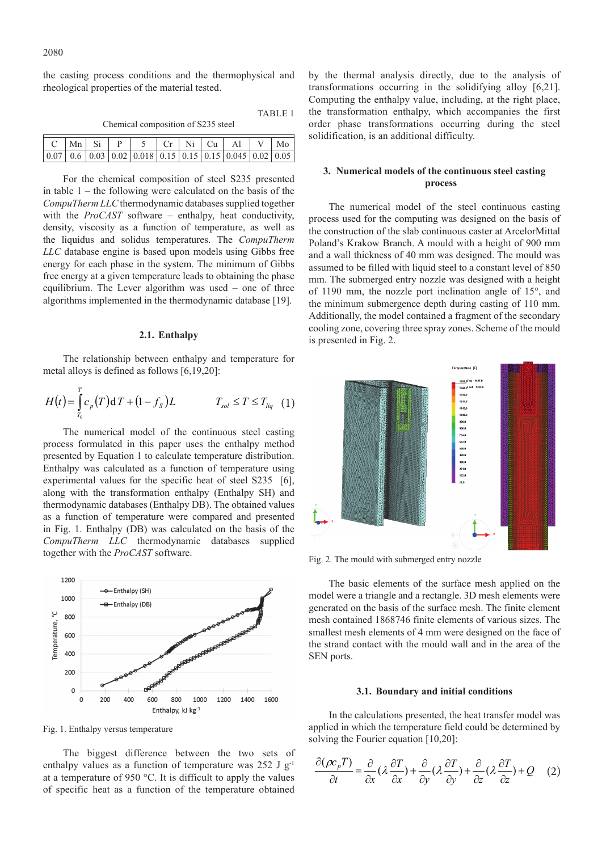the casting process conditions and the thermophysical and rheological properties of the material tested.

| TA DIJELI.<br>Chemical composition of S235 steel |  |                          |  |                                                                                                        |  |  |  |                         |  |    |
|--------------------------------------------------|--|--------------------------|--|--------------------------------------------------------------------------------------------------------|--|--|--|-------------------------|--|----|
|                                                  |  | $Mn \mid Si \mid P \mid$ |  |                                                                                                        |  |  |  | $5$   Cr   Ni   Cu   Al |  | Mo |
|                                                  |  |                          |  | $0.6 \mid 0.03 \mid 0.02 \mid 0.018 \mid 0.15 \mid 0.15 \mid 0.15 \mid 0.045 \mid 0.02 \mid 0.05 \mid$ |  |  |  |                         |  |    |

TABLE 1

For the chemical composition of steel S235 presented in table  $1$  – the following were calculated on the basis of the *CompuTherm LLC* thermodynamic databases supplied together with the *ProCAST* software – enthalpy, heat conductivity, density, viscosity as a function of temperature, as well as the liquidus and solidus temperatures. The *CompuTherm LLC* database engine is based upon models using Gibbs free energy for each phase in the system. The minimum of Gibbs free energy at a given temperature leads to obtaining the phase equilibrium. The Lever algorithm was used – one of three algorithms implemented in the thermodynamic database [19].

## **2.1. Enthalpy**

The relationship between enthalpy and temperature for metal alloys is defined as follows [6,19,20]:

$$
H(t) = \int_{T_0}^{T} c_p(T) dT + (1 - f_s)L \qquad T_{sol} \le T \le T_{liq} \quad (1)
$$

The numerical model of the continuous steel casting process formulated in this paper uses the enthalpy method presented by Equation 1 to calculate temperature distribution. Enthalpy was calculated as a function of temperature using experimental values for the specific heat of steel S235 [6], along with the transformation enthalpy (Enthalpy SH) and thermodynamic databases (Enthalpy DB). The obtained values as a function of temperature were compared and presented in Fig. 1. Enthalpy (DB) was calculated on the basis of the *CompuTherm LLC* thermodynamic databases supplied together with the *ProCAST* software.



Fig. 1. Enthalpy versus temperature

The biggest difference between the two sets of enthalpy values as a function of temperature was 252 J  $g^{-1}$ at a temperature of 950 °C. It is difficult to apply the values of specific heat as a function of the temperature obtained

by the thermal analysis directly, due to the analysis of transformations occurring in the solidifying alloy [6,21]. Computing the enthalpy value, including, at the right place, the transformation enthalpy, which accompanies the first order phase transformations occurring during the steel solidification, is an additional difficulty.

# **3. Numerical models of the continuous steel casting process**

The numerical model of the steel continuous casting process used for the computing was designed on the basis of the construction of the slab continuous caster at ArcelorMittal Poland's Krakow Branch. A mould with a height of 900 mm and a wall thickness of 40 mm was designed. The mould was assumed to be filled with liquid steel to a constant level of 850 mm. The submerged entry nozzle was designed with a height of 1190 mm, the nozzle port inclination angle of 15°, and the minimum submergence depth during casting of 110 mm. Additionally, the model contained a fragment of the secondary cooling zone, covering three spray zones. Scheme of the mould is presented in Fig. 2.



Fig. 2. The mould with submerged entry nozzle

The basic elements of the surface mesh applied on the model were a triangle and a rectangle. 3D mesh elements were generated on the basis of the surface mesh. The finite element mesh contained 1868746 finite elements of various sizes. The smallest mesh elements of 4 mm were designed on the face of the strand contact with the mould wall and in the area of the SEN ports.

#### **3.1. Boundary and initial conditions**

In the calculations presented, the heat transfer model was applied in which the temperature field could be determined by solving the Fourier equation [10,20]:

$$
\frac{\partial(\rho c_p T)}{\partial t} = \frac{\partial}{\partial x} (\lambda \frac{\partial T}{\partial x}) + \frac{\partial}{\partial y} (\lambda \frac{\partial T}{\partial y}) + \frac{\partial}{\partial z} (\lambda \frac{\partial T}{\partial z}) + Q \quad (2)
$$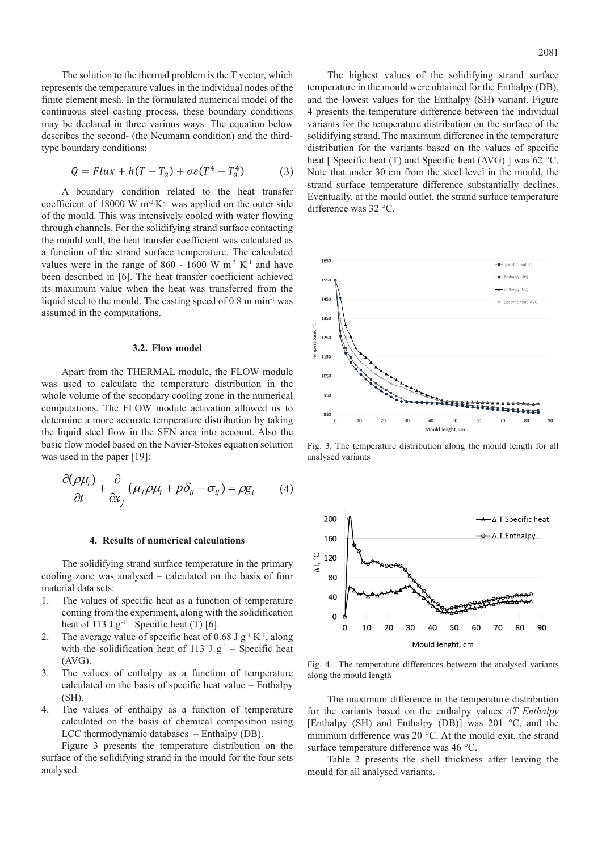The solution to the thermal problem is the T vector, which represents the temperature values in the individual nodes of the finite element mesh. In the formulated numerical model of the continuous steel casting process, these boundary conditions may be declared in three various ways. The equation below describes the second- (the Neumann condition) and the thirdtype boundary conditions:

$$
Q = Flux + h(T - T_a) + \sigma \varepsilon (T^4 - T_a^4) \tag{3}
$$

A boundary condition related to the heat transfer coefficient of 18000 W  $m<sup>2</sup>K<sup>-1</sup>$  was applied on the outer side of the mould. This was intensively cooled with water flowing through channels. For the solidifying strand surface contacting the mould wall, the heat transfer coefficient was calculated as a function of the strand surface temperature. The calculated values were in the range of 860 - 1600 W  $m<sup>2</sup> K<sup>-1</sup>$  and have been described in [6]. The heat transfer coefficient achieved its maximum value when the heat was transferred from the liquid steel to the mould. The casting speed of 0.8 m min<sup>-1</sup> was assumed in the computations.

#### **3.2. Flow model**

Apart from the THERMAL module, the FLOW module was used to calculate the temperature distribution in the whole volume of the secondary cooling zone in the numerical computations. The FLOW module activation allowed us to determine a more accurate temperature distribution by taking the liquid steel flow in the SEN area into account. Also the basic flow model based on the Navier-Stokes equation solution was used in the paper [19]:

$$
\frac{\partial(\rho\mu_i)}{\partial t} + \frac{\partial}{\partial x_j}(\mu_j \rho\mu_i + p\delta_{ij} - \sigma_{ij}) = \rho g_i \qquad (4)
$$

#### **4. Results of numerical calculations**

The solidifying strand surface temperature in the primary cooling zone was analysed – calculated on the basis of four material data sets:

- 1. The values of specific heat as a function of temperature coming from the experiment, along with the solidification heat of 113 J  $g^{-1}$  – Specific heat (T) [6].
- 2. The average value of specific heat of 0.68 J  $g^{-1} K^{-1}$ , along with the solidification heat of 113 J  $g^{-1}$  – Specific heat (AVG).
- 3. The values of enthalpy as a function of temperature calculated on the basis of specific heat value – Enthalpy (SH).
- 4. The values of enthalpy as a function of temperature calculated on the basis of chemical composition using LCC thermodynamic databases – Enthalpy (DB).

Figure 3 presents the temperature distribution on the surface of the solidifying strand in the mould for the four sets analysed.

The highest values of the solidifying strand surface temperature in the mould were obtained for the Enthalpy (DB), and the lowest values for the Enthalpy (SH) variant. Figure 4 presents the temperature difference between the individual variants for the temperature distribution on the surface of the solidifying strand. The maximum difference in the temperature distribution for the variants based on the values of specific heat [ Specific heat (T) and Specific heat (AVG) ] was 62 °C. Note that under 30 cm from the steel level in the mould, the strand surface temperature difference substantially declines. Eventually, at the mould outlet, the strand surface temperature difference was 32 °C.



Fig. 3. The temperature distribution along the mould length for all analysed variants



Fig. 4. The temperature differences between the analysed variants along the mould length

The maximum difference in the temperature distribution for the variants based on the enthalpy values *ΔT Enthalpy* [Enthalpy (SH) and Enthalpy (DB)] was 201 °C, and the minimum difference was 20 °C. At the mould exit, the strand surface temperature difference was 46 °C.

Table 2 presents the shell thickness after leaving the mould for all analysed variants.